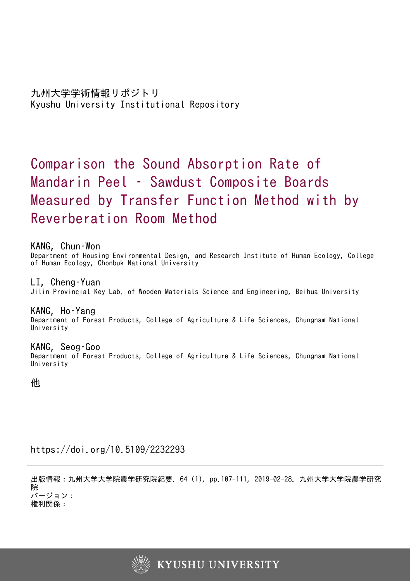# Comparison the Sound Absorption Rate of Mandarin Peel – Sawdust Composite Boards Measured by Transfer Function Method with by Reverberation Room Method

KANG, Chun–Won

Department of Housing Environmental Design, and Research Institute of Human Ecology, College of Human Ecology, Chonbuk National University

LI, Cheng–Yuan Jilin Provincial Key Lab. of Wooden Materials Science and Engineering, Beihua University

KANG, Ho–Yang Department of Forest Products, College of Agriculture & Life Sciences, Chungnam National University

KANG, Seog–Goo Department of Forest Products, College of Agriculture & Life Sciences, Chungnam National University

他

https://doi.org/10.5109/2232293

出版情報:九州大学大学院農学研究院紀要. 64 (1), pp.107-111, 2019-02-28. 九州大学大学院農学研究 院 バージョン:

権利関係:

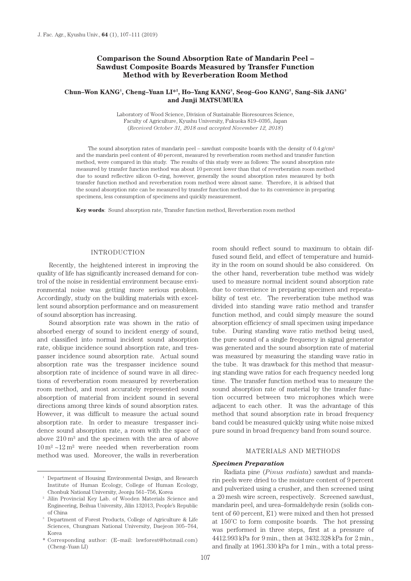# **Comparison the Sound Absorption Rate of Mandarin Peel – Sawdust Composite Boards Measured by Transfer Function Method with by Reverberation Room Method**

## **Chun–Won KANG1 , Cheng–Yuan LI\*2 , Ho–Yang KANG3 , Seog–Goo KANG3 , Sang–Sik JANG3 and Junji MATSUMURA**

Laboratory of Wood Science, Division of Sustainable Bioresources Science, Faculty of Agriculture, Kyushu University, Fukuoka 819–0395, Japan (*Received October 31, 2018 and accepted November 12, 2018*)

The sound absorption rates of mandarin peel – sawdust composite boards with the density of  $0.4 \text{ g/cm}^3$ and the mandarin peel content of 40 percent, measured by reverberation room method and transfer function method, were compared in this study. The results of this study were as follows: The sound absorption rate measured by transfer function method was about 10 percent lower than that of reverberation room method due to sound reflective silicon O–ring, however, generally the sound absorption rates measured by both transfer function method and reverberation room method were almost same. Therefore, it is advised that the sound absorption rate can be measured by transfer function method due to its convenience in preparing specimens, less consumption of specimens and quickly measurement.

**Key words**: Sound absorption rate, Transfer function method, Reverberation room method

#### INTRODUCTION

Recently, the heightened interest in improving the quality of life has significantly increased demand for control of the noise in residential environment because environmental noise was getting more serious problem. Accordingly, study on the building materials with excellent sound absorption performance and on measurement of sound absorption has increasing.

Sound absorption rate was shown in the ratio of absorbed energy of sound to incident energy of sound, and classified into normal incident sound absorption rate, oblique incidence sound absorption rate, and trespasser incidence sound absorption rate. Actual sound absorption rate was the trespasser incidence sound absorption rate of incidence of sound wave in all directions of reverberation room measured by reverberation room method, and most accurately represented sound absorption of material from incident sound in several directions among three kinds of sound absorption rates. However, it was difficult to measure the actual sound absorption rate. In order to measure trespasser incidence sound absorption rate, a room with the space of above 210 m³ and the specimen with the area of above  $10 \,\mathrm{m}^2 \sim 12 \,\mathrm{m}^2$  were needed when reverberation room method was used. Moreover, the walls in reverberation

room should reflect sound to maximum to obtain diffused sound field, and effect of temperature and humidity in the room on sound should be also considered. On the other hand, reverberation tube method was widely used to measure normal incident sound absorption rate due to convenience in preparing specimen and repeatability of test etc. The reverberation tube method was divided into standing wave ratio method and transfer function method, and could simply measure the sound absorption efficiency of small specimen using impedance tube. During standing wave ratio method being used, the pure sound of a single frequency in signal generator was generated and the sound absorption rate of material was measured by measuring the standing wave ratio in the tube. It was drawback for this method that measuring standing wave ratios for each frequency needed long time. The transfer function method was to measure the sound absorption rate of material by the transfer function occurred between two microphones which were adjacent to each other. It was the advantage of this method that sound absorption rate in broad frequency band could be measured quickly using white noise mixed pure sound in broad frequency band from sound source.

# MATERIALS AND METHODS

#### *Specimen Preparation*

Radiata pine (*Pinus radiata*) sawdust and mandarin peels were dried to the moisture content of 9 percent and pulverized using a crusher, and then screened using a 20 mesh wire screen, respectively. Screened sawdust, mandarin peel, and urea–formaldehyde resin (solids content of 60 percent, E1) were mixed and then hot pressed at 150˚C to form composite boards. The hot pressing was performed in three steps, first at a pressure of 4412.993 kPa for 9 min., then at 3432.328 kPa for 2 min., and finally at 1961.330 kPa for 1 min., with a total press-

<sup>&</sup>lt;sup>1</sup> Department of Housing Environmental Design, and Research Institute of Human Ecology, College of Human Ecology, Chonbuk National University, Jeonju 561–756, Korea  $^2$  Jilin Provincial Key Lab. of Wooden Materials Science and

Engineering, Beihua University, Jilin 132013, People's Republic

of China<br>Department of Forest Products, College of Agriculture & Life Sciences, Chungnam National University, Daejeon 305–764, Korea

<sup>\*</sup> Corresponding author: (E–mail: lswforest@hotmail.com) (Cheng–Yuan LI)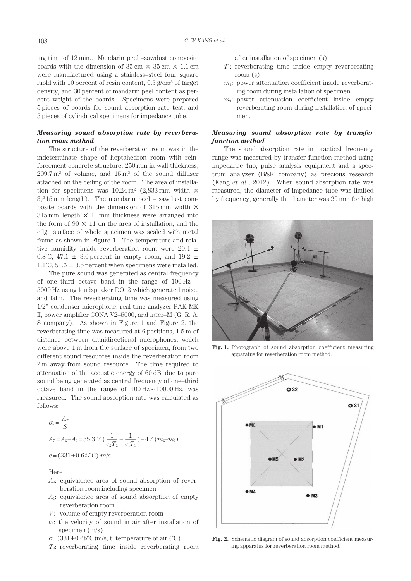ing time of 12 min.. Mandarin peel –sawdust composite boards with the dimension of  $35 \text{ cm} \times 35 \text{ cm} \times 1.1 \text{ cm}$ were manufactured using a stainless–steel four square mold with 10 percent of resin content,  $0.5$  g/cm<sup>3</sup> of target density, and 30 percent of mandarin peel content as percent weight of the boards. Specimens were prepared 5 pieces of boards for sound absorption rate test, and 5 pieces of cylindrical specimens for impedance tube.

#### *Measuring sound absorption rate by reverberation room method*

The structure of the reverberation room was in the indeterminate shape of heptahedron room with reinforcement concrete structure, 250 mm in wall thickness,  $209.7 \text{ m}^3$  of volume, and  $15 \text{ m}^2$  of the sound diffuser attached on the ceiling of the room. The area of installation for specimens was  $10.24 \text{ m}^2$  (2,833 mm width  $\times$ 3,615 mm length). The mandarin peel – sawdust composite boards with the dimension of  $315 \,\mathrm{mm}$  width  $\times$  $315 \,\mathrm{mm}$  length  $\times$  11 mm thickness were arranged into the form of  $90 \times 11$  on the area of installation, and the edge surface of whole specimen was sealed with metal frame as shown in Figure 1. The temperature and relative humidity inside reverberation room were  $20.4 \pm$ 0.8°C, 47.1  $\pm$  3.0 percent in empty room, and 19.2  $\pm$ 1.1 $^{\circ}$ C, 51.6  $\pm$  3.5 percent when specimens were installed.

The pure sound was generated as central frequency of one–third octave band in the range of 100 Hz  $\sim$ 5000 Hz using loudspeaker DO12 which generated noise, and falm. The reverberating time was measured using 1/2" condenser microphone, real time analyzer PAK MK II, power amplifier CONA V2–5000, and inter–M (G. R. A. S company). As shown in Figure 1 and Figure 2, the reverberating time was measured at 6 positions, 1.5 m of distance between omnidirectional microphones, which were above 1 m from the surface of specimen, from two different sound resources inside the reverberation room 2 m away from sound resource. The time required to attenuation of the acoustic energy of 60 dB, due to pure sound being generated as central frequency of one–third octave band in the range of  $100 \text{ Hz} \sim 10000 \text{ Hz}$ , was measured. The sound absorption rate was calculated as follows:

$$
\alpha_s = \frac{A_T}{S}
$$
  
\n
$$
A_T = A_2 - A_1 = 55.3 \, V \left( \frac{1}{c_2 T_2} - \frac{1}{c_1 T_1} \right) - 4V \left( m_2 - m_1 \right)
$$
  
\n
$$
c = (331 + 0.6 \, t \, \text{°C}) \, m/s
$$

Here

- *A*2: equivalence area of sound absorption of reverberation room including specimen
- *A*1: equivalence area of sound absorption of empty reverberation room
- *V*: volume of empty reverberation room
- *c*2: the velocity of sound in air after installation of specimen (m/s)
- *c*:  $(331+0.6t^{\circ}\text{C})\text{m/s}$ , t: temperature of air  $(^{\circ}\text{C})$
- *T*2: reverberating time inside reverberating room

after installation of specimen (s)

- *T*1: reverberating time inside empty reverberating room (s)
- $m<sub>2</sub>$ : power attenuation coefficient inside reverberating room during installation of specimen
- *m*1: power attenuation coefficient inside empty reverberating room during installation of specimen.

## *Measuring sound absorption rate by transfer function method*

The sound absorption rate in practical frequency range was measured by transfer function method using impedance tub, pulse analysis equipment and a spectrum analyzer (B&K company) as precious research (Kang *et al.*, 2012). When sound absorption rate was measured, the diameter of impedance tube was limited by frequency, generally the diameter was 29 mm for high



**Fig. 1.** Photograph of sound absorption coefficient measuring apparatus for reverberation room method.



Fig. 2. Schematic diagram of sound absorption coefficient measuring apparatus for reverberation room method.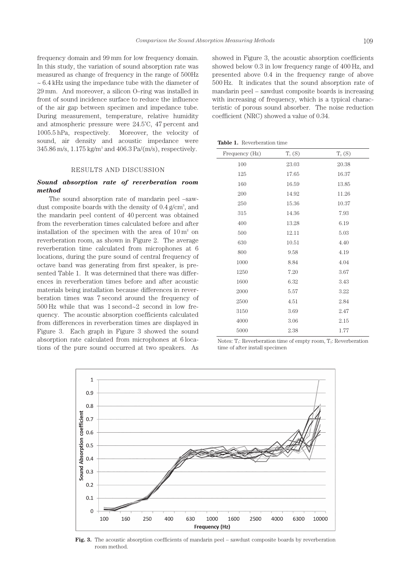frequency domain and 99 mm for low frequency domain. In this study, the variation of sound absorption rate was measured as change of frequency in the range of 500Hz  $\sim$  6.4 kHz using the impedance tube with the diameter of 29 mm. And moreover, a silicon O–ring was installed in front of sound incidence surface to reduce the influence of the air gap between specimen and impedance tube. During measurement, temperature, relative humidity and atmospheric pressure were 24.5˚C, 47 percent and 1005.5 hPa, respectively. Moreover, the velocity of sound, air density and acoustic impedance were 345.86 m/s, 1.175 kg/m<sup>3</sup> and 406.3 Pa/(m/s), respectively.

#### RESULTS AND DISCUSSION

## *Sound absorption rate of reverberation room method*

The sound absorption rate of mandarin peel –sawdust composite boards with the density of  $0.4 \text{ g/cm}^3$ , and the mandarin peel content of 40 percent was obtained from the reverberation times calculated before and after installation of the specimen with the area of  $10 \text{ m}^2$  on reverberation room, as shown in Figure 2. The average reverberation time calculated from microphones at 6 locations, during the pure sound of central frequency of octave band was generating from first speaker, is presented Table 1. It was determined that there was differences in reverberation times before and after acoustic materials being installation because differences in reverberation times was 7 second around the frequency of 500 Hz while that was 1 second~2 second in low frequency. The acoustic absorption coefficients calculated from differences in reverberation times are displayed in Figure 3. Each graph in Figure 3 showed the sound absorption rate calculated from microphones at 6 locations of the pure sound occurred at two speakers. As

showed in Figure 3, the acoustic absorption coefficients showed below 0.3 in low frequency range of 400 Hz, and presented above 0.4 in the frequency range of above 500 Hz. It indicates that the sound absorption rate of mandarin peel – sawdust composite boards is increasing with increasing of frequency, which is a typical characteristic of porous sound absorber. The noise reduction coefficient (NRC) showed a value of 0.34.

**Table 1.** Reverberation time

| Frequency (Hz) | $T_1(S)$ | $T_2(S)$ |
|----------------|----------|----------|
| 100            | 23.03    | 20.38    |
| 125            | 17.65    | 16.37    |
| 160            | 16.59    | 13.85    |
| 200            | 14.92    | 11.26    |
| 250            | 15.36    | 10.37    |
| 315            | 14.36    | 7.93     |
| 400            | 13.28    | 6.19     |
| 500            | 12.11    | 5.03     |
| 630            | 10.51    | 4.40     |
| 800            | 9.58     | 4.19     |
| 1000           | 8.84     | 4.04     |
| 1250           | 7.20     | 3.67     |
| 1600           | 6.32     | 3.43     |
| 2000           | 5.57     | 3.22     |
| 2500           | 4.51     | 2.84     |
| 3150           | 3.69     | 2.47     |
| 4000           | 3.06     | 2.15     |
| 5000           | 2.38     | 1.77     |

Notes:  $T_1$ : Reverberation time of empty room,  $T_2$ : Reverberation time of after install specimen



Fig. 3. The acoustic absorption coefficients of mandarin peel – sawdust composite boards by reverberation room method.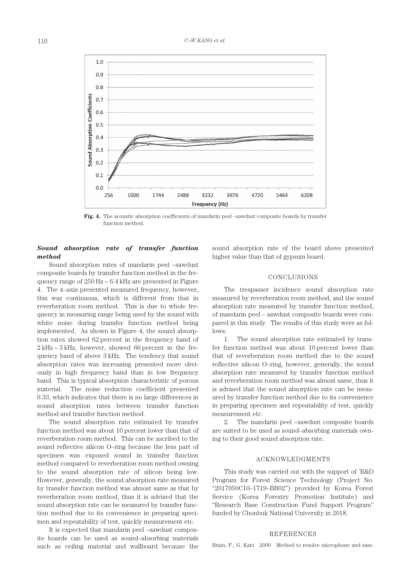

**Fig. 4.** The acoustic absorption coefficients of mandarin peel –sawdust composite boards by transfer function method.

# *Sound absorption rate of transfer function method*

Sound absorption rates of mandarin peel –sawdust composite boards by transfer function method in the frequency range of  $250$  Hz  $\sim$  6.4 kHz are presented in Figure 4. The x–axis presented measured frequency, however, this was continuous, which is different from that in reverberation room method. This is due to whole frequency in measuring range being used by the sound with white noise during transfer function method being implemented. As shown in Figure 4, the sound absorption rates showed 62 percent in the frequency band of  $2 \text{ kHz} \sim 3 \text{ kHz}$ , however, showed 66 percent in the frequency band of above 3 kHz. The tendency that sound absorption rates was increasing presented more obviously in high frequency band than in low frequency band. This is typical absorption characteristic of porous material. The noise reduction coefficient presented 0.33, which indicates that there is no large differences in sound absorption rates between transfer function method and transfer function method.

The sound absorption rate estimated by transfer function method was about 10 percent lower than that of reverberation room method. This can be ascribed to the sound reflective silicon O–ring because the less part of specimen was exposed sound in transfer function method compared to reverberation room method owning to the sound absorption rate of silicon being low. However, generally, the sound absorption rate measured by transfer function method was almost same as that by reverberation room method, thus it is advised that the sound absorption rate can be measured by transfer function method due to its convenience in preparing specimen and repeatability of test, quickly measurement etc.

It is expected that mandarin peel –sawdust composite boards can be used as sound–absorbing materials such as ceiling material and wallboard because the sound absorption rate of the board above presented higher value than that of gypsum board.

#### CONCLUSIONS

The trespasser incidence sound absorption rate measured by reverberation room method, and the sound absorption rate measured by transfer function method, of mandarin peel – sawdust composite boards were compared in this study. The results of this study were as follows:

1. The sound absorption rate estimated by transfer function method was about 10 percent lower than that of reverberation room method due to the sound reflective silicon O–ring, however, generally, the sound absorption rate measured by transfer function method and reverberation room method was almost same, thus it is advised that the sound absorption rate can be measured by transfer function method due to its convenience in preparing specimen and repeatability of test, quickly measurement etc.

2. The mandarin peel –sawdust composite boards are suited to be used as sound–absorbing materials owning to their good sound absorption rate.

## ACKNOWLEDGMENTS

This study was carried out with the support of  $R&D$ Program for Forest Science Technology (Project No. "2017050C10–1719–BB02") provided by Korea Forest Service (Korea Forestry Promotion Institute) and "Research Base Construction Fund Support Program" funded by Chonbuk National University in 2018.

#### REFERENCES